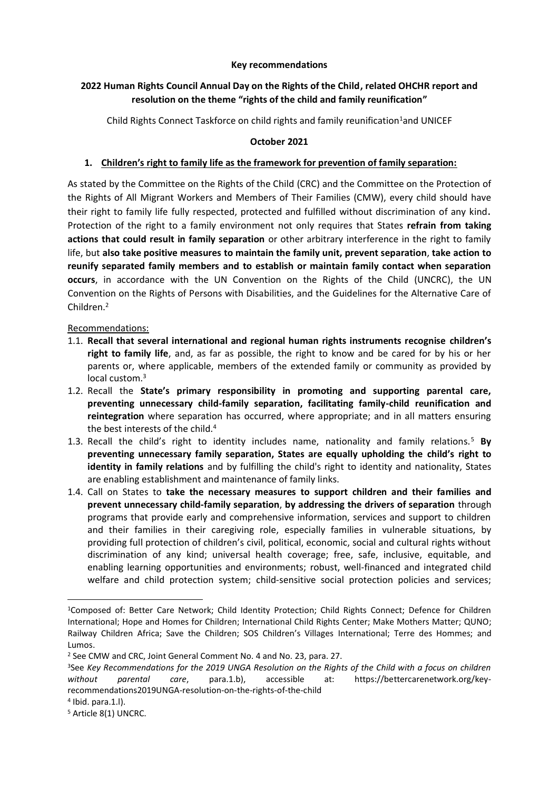## **Key recommendations**

# **2022 Human Rights Council Annual Day on the Rights of the Child, related OHCHR report and resolution on the theme "rights of the child and family reunification"**

Child Rights Connect Taskforce on child rights and family reunification<sup>1</sup>and UNICEF

# **October 2021**

## **1. Children's right to family life as the framework for prevention of family separation:**

As stated by the Committee on the Rights of the Child (CRC) and the Committee on the Protection of the Rights of All Migrant Workers and Members of Their Families (CMW), every child should have their right to family life fully respected, protected and fulfilled without discrimination of any kind. Protection of the right to a family environment not only requires that States **refrain from taking actions that could result in family separation** or other arbitrary interference in the right to family life, but **also take positive measures to maintain the family unit, prevent separation**, **take action to reunify separated family members and to establish or maintain family contact when separation occurs**, in accordance with the UN Convention on the Rights of the Child (UNCRC), the UN Convention on the Rights of Persons with Disabilities, and the Guidelines for the Alternative Care of Children. 2

## Recommendations:

- 1.1. **Recall that several international and regional human rights instruments recognise children's right to family life**, and, as far as possible, the right to know and be cared for by his or her parents or, where applicable, members of the extended family or community as provided by local custom. 3
- 1.2. Recall the **State's primary responsibility in promoting and supporting parental care, preventing unnecessary child-family separation, facilitating family-child reunification and reintegration** where separation has occurred, where appropriate; and in all matters ensuring the best interests of the child.<sup>4</sup>
- 1.3. Recall the child's right to identity includes name, nationality and family relations.<sup>5</sup> **By preventing unnecessary family separation, States are equally upholding the child's right to identity in family relations** and by fulfilling the child's right to identity and nationality, States are enabling establishment and maintenance of family links.
- 1.4. Call on States to **take the necessary measures to support children and their families and prevent unnecessary child-family separation**, **by addressing the drivers of separation** through programs that provide early and comprehensive information, services and support to children and their families in their caregiving role, especially families in vulnerable situations, by providing full protection of children's civil, political, economic, social and cultural rights without discrimination of any kind; universal health coverage; free, safe, inclusive, equitable, and enabling learning opportunities and environments; robust, well-financed and integrated child welfare and child protection system; child-sensitive social protection policies and services;

<sup>&</sup>lt;sup>1</sup>Composed of: Better Care Network; Child Identity Protection; Child Rights Connect; Defence for Children International; Hope and Homes for Children; International Child Rights Center; Make Mothers Matter; QUNO; Railway Children Africa; Save the Children; SOS Children's Villages International; Terre des Hommes; and Lumos.

<sup>2</sup> See CMW and CRC, Joint General Comment No. 4 and No. 23, para. 27.

<sup>3</sup>See *Key Recommendations for the 2019 UNGA Resolution on the Rights of the Child with a focus on children without parental care*, para.1.b), accessible at: https://bettercarenetwork.org/keyrecommendations2019UNGA-resolution-on-the-rights-of-the-child

<sup>4</sup> Ibid. para.1.l).

<sup>5</sup> Article 8(1) UNCRC.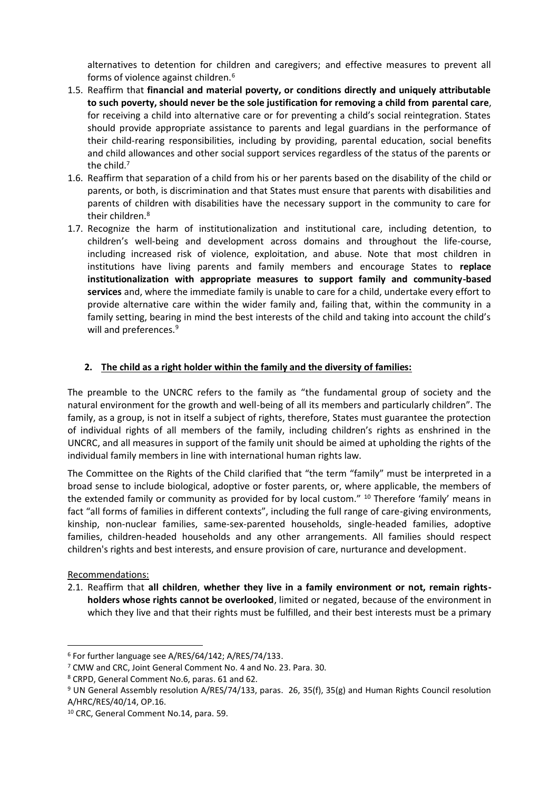alternatives to detention for children and caregivers; and effective measures to prevent all forms of violence against children.<sup>6</sup>

- 1.5. Reaffirm that **financial and material poverty, or conditions directly and uniquely attributable to such poverty, should never be the sole justification for removing a child from parental care**, for receiving a child into alternative care or for preventing a child's social reintegration. States should provide appropriate assistance to parents and legal guardians in the performance of their child-rearing responsibilities, including by providing, parental education, social benefits and child allowances and other social support services regardless of the status of the parents or the child.<sup>7</sup>
- 1.6. Reaffirm that separation of a child from his or her parents based on the disability of the child or parents, or both, is discrimination and that States must ensure that parents with disabilities and parents of children with disabilities have the necessary support in the community to care for their children.<sup>8</sup>
- 1.7. Recognize the harm of institutionalization and institutional care, including detention, to children's well-being and development across domains and throughout the life-course, including increased risk of violence, exploitation, and abuse. Note that most children in institutions have living parents and family members and encourage States to **replace institutionalization with appropriate measures to support family and community-based services** and, where the immediate family is unable to care for a child, undertake every effort to provide alternative care within the wider family and, failing that, within the community in a family setting, bearing in mind the best interests of the child and taking into account the child's will and preferences.<sup>9</sup>

# **2. The child as a right holder within the family and the diversity of families:**

The preamble to the UNCRC refers to the family as "the fundamental group of society and the natural environment for the growth and well-being of all its members and particularly children". The family, as a group, is not in itself a subject of rights, therefore, States must guarantee the protection of individual rights of all members of the family, including children's rights as enshrined in the UNCRC, and all measures in support of the family unit should be aimed at upholding the rights of the individual family members in line with international human rights law.

The Committee on the Rights of the Child clarified that "the term "family" must be interpreted in a broad sense to include biological, adoptive or foster parents, or, where applicable, the members of the extended family or community as provided for by local custom." <sup>10</sup> Therefore 'family' means in fact "all forms of families in different contexts", including the full range of care-giving environments, kinship, non-nuclear families, same-sex-parented households, single-headed families, adoptive families, children-headed households and any other arrangements. All families should respect children's rights and best interests, and ensure provision of care, nurturance and development.

# Recommendations:

2.1. Reaffirm that **all children**, **whether they live in a family environment or not, remain rightsholders whose rights cannot be overlooked**, limited or negated, because of the environment in which they live and that their rights must be fulfilled, and their best interests must be a primary

<sup>6</sup> For further language see A/RES/64/142; A/RES/74/133.

<sup>7</sup> CMW and CRC, Joint General Comment No. 4 and No. 23. Para. 30.

<sup>8</sup> CRPD, General Comment No.6, paras. 61 and 62.

<sup>9</sup> UN General Assembly resolution A/RES/74/133, paras. 26, 35(f), 35(g) and Human Rights Council resolution A/HRC/RES/40/14, OP.16.

<sup>10</sup> CRC, General Comment No.14, para. 59.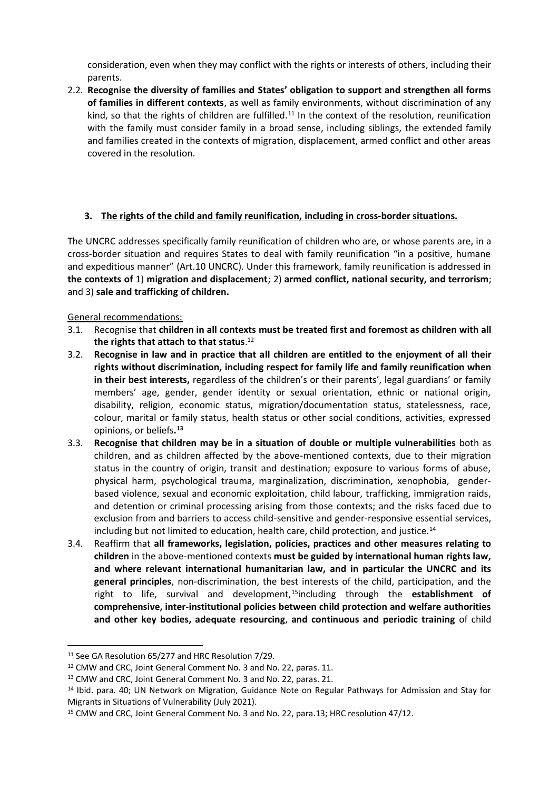consideration, even when they may conflict with the rights or interests of others, including their parents.

2.2. **Recognise the diversity of families and States' obligation to support and strengthen all forms of families in different contexts**, as well as family environments, without discrimination of any kind, so that the rights of children are fulfilled.<sup>11</sup> In the context of the resolution, reunification with the family must consider family in a broad sense, including siblings, the extended family and families created in the contexts of migration, displacement, armed conflict and other areas covered in the resolution.

# **3. The rights of the child and family reunification, including in cross-border situations.**

The UNCRC addresses specifically family reunification of children who are, or whose parents are, in a cross-border situation and requires States to deal with family reunification "in a positive, humane and expeditious manner" (Art.10 UNCRC). Under this framework, family reunification is addressed in **the contexts of** 1) **migration and displacement**; 2) **armed conflict, national security, and terrorism**; and 3) **sale and trafficking of children.** 

# General recommendations:

- 3.1. Recognise that **children in all contexts must be treated first and foremost as children with all the rights that attach to that status**. 12
- 3.2. **Recognise in law and in practice that all children are entitled to the enjoyment of all their rights without discrimination, including respect for family life and family reunification when in their best interests,** regardless of the children's or their parents', legal guardians' or family members' age, gender, gender identity or sexual orientation, ethnic or national origin, disability, religion, economic status, migration/documentation status, statelessness, race, colour, marital or family status, health status or other social conditions, activities, expressed opinions, or beliefs**. 13**
- 3.3. **Recognise that children may be in a situation of double or multiple vulnerabilities** both as children, and as children affected by the above-mentioned contexts, due to their migration status in the country of origin, transit and destination; exposure to various forms of abuse, physical harm, psychological trauma, marginalization, discrimination, xenophobia, genderbased violence, sexual and economic exploitation, child labour, trafficking, immigration raids, and detention or criminal processing arising from those contexts; and the risks faced due to exclusion from and barriers to access child-sensitive and gender-responsive essential services, including but not limited to education, health care, child protection, and justice.<sup>14</sup>
- 3.4. Reaffirm that **all frameworks, legislation, policies, practices and other measures relating to children** in the above-mentioned contexts **must be guided by international human rights law, and where relevant international humanitarian law, and in particular the UNCRC and its general principles**, non-discrimination, the best interests of the child, participation, and the right to life, survival and development,<sup>15</sup>including through the **establishment of comprehensive, inter-institutional policies between child protection and welfare authorities and other key bodies, adequate resourcing**, **and continuous and periodic training** of child

<sup>&</sup>lt;sup>11</sup> See GA Resolution 65/277 and HRC Resolution 7/29.

<sup>12</sup> CMW and CRC, Joint General Comment No. 3 and No. 22, paras. 11.

<sup>13</sup> CMW and CRC, Joint General Comment No. 3 and No. 22, paras. 21.

<sup>14</sup> Ibid. para. 40; UN Network on Migration, Guidance Note on Regular Pathways for Admission and Stay for Migrants in Situations of Vulnerability (July 2021).

<sup>&</sup>lt;sup>15</sup> CMW and CRC, Joint General Comment No. 3 and No. 22, para.13; HRC resolution 47/12.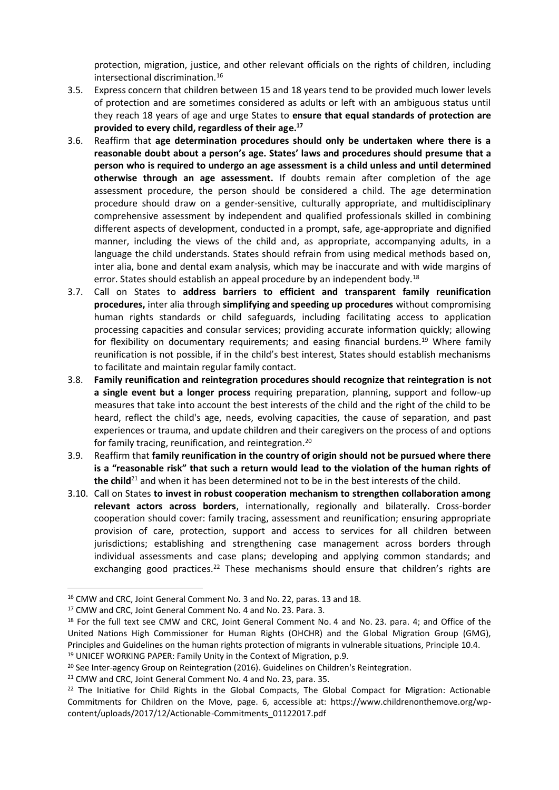protection, migration, justice, and other relevant officials on the rights of children, including intersectional discrimination.<sup>16</sup>

- 3.5. Express concern that children between 15 and 18 years tend to be provided much lower levels of protection and are sometimes considered as adults or left with an ambiguous status until they reach 18 years of age and urge States to **ensure that equal standards of protection are provided to every child, regardless of their age.<sup>17</sup>**
- 3.6. Reaffirm that **age determination procedures should only be undertaken where there is a reasonable doubt about a person's age. States' laws and procedures should presume that a person who is required to undergo an age assessment is a child unless and until determined otherwise through an age assessment.** If doubts remain after completion of the age assessment procedure, the person should be considered a child. The age determination procedure should draw on a gender-sensitive, culturally appropriate, and multidisciplinary comprehensive assessment by independent and qualified professionals skilled in combining different aspects of development, conducted in a prompt, safe, age-appropriate and dignified manner, including the views of the child and, as appropriate, accompanying adults, in a language the child understands. States should refrain from using medical methods based on, inter alia, bone and dental exam analysis, which may be inaccurate and with wide margins of error. States should establish an appeal procedure by an independent body.<sup>18</sup>
- 3.7. Call on States to **address barriers to efficient and transparent family reunification procedures,** inter alia through **simplifying and speeding up procedures** without compromising human rights standards or child safeguards, including facilitating access to application processing capacities and consular services; providing accurate information quickly; allowing for flexibility on documentary requirements; and easing financial burdens.<sup>19</sup> Where family reunification is not possible, if in the child's best interest, States should establish mechanisms to facilitate and maintain regular family contact.
- 3.8. **Family reunification and reintegration procedures should recognize that reintegration is not a single event but a longer process** requiring preparation, planning, support and follow-up measures that take into account the best interests of the child and the right of the child to be heard, reflect the child's age, needs, evolving capacities, the cause of separation, and past experiences or trauma, and update children and their caregivers on the process of and options for family tracing, reunification, and reintegration.<sup>20</sup>
- 3.9. Reaffirm that **family reunification in the country of origin should not be pursued where there is a "reasonable risk" that such a return would lead to the violation of the human rights of the child**<sup>21</sup> and when it has been determined not to be in the best interests of the child.
- 3.10. Call on States **to invest in robust cooperation mechanism to strengthen collaboration among relevant actors across borders**, internationally, regionally and bilaterally. Cross-border cooperation should cover: family tracing, assessment and reunification; ensuring appropriate provision of care, protection, support and access to services for all children between jurisdictions; establishing and strengthening case management across borders through individual assessments and case plans; developing and applying common standards; and exchanging good practices.<sup>22</sup> These mechanisms should ensure that children's rights are

<sup>16</sup> CMW and CRC, Joint General Comment No. 3 and No. 22, paras. 13 and 18.

<sup>17</sup> CMW and CRC, Joint General Comment No. 4 and No. 23. Para. 3.

<sup>&</sup>lt;sup>18</sup> For the full text see CMW and CRC, Joint General Comment No. 4 and No. 23. para. 4; and Office of the United Nations High Commissioner for Human Rights (OHCHR) and the Global Migration Group (GMG), Principles and Guidelines on the human rights protection of migrants in vulnerable situations, Principle 10.4. <sup>19</sup> UNICEF WORKING PAPER: Family Unity in the Context of Migration, p.9.

<sup>&</sup>lt;sup>20</sup> See Inter-agency Group on Reintegration (2016). Guidelines on Children's Reintegration.

<sup>&</sup>lt;sup>21</sup> CMW and CRC, Joint General Comment No. 4 and No. 23, para. 35.

<sup>&</sup>lt;sup>22</sup> The Initiative for Child Rights in the Global Compacts, The Global Compact for Migration: Actionable Commitments for Children on the Move, page. 6, accessible at: https://www.childrenonthemove.org/wpcontent/uploads/2017/12/Actionable-Commitments\_01122017.pdf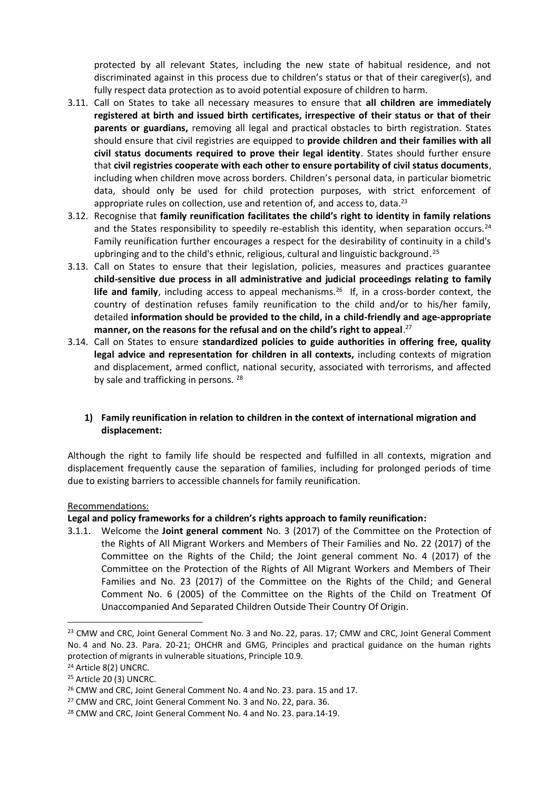protected by all relevant States, including the new state of habitual residence, and not discriminated against in this process due to children's status or that of their caregiver(s), and fully respect data protection as to avoid potential exposure of children to harm.

- 3.11. Call on States to take all necessary measures to ensure that **all children are immediately registered at birth and issued birth certificates, irrespective of their status or that of their parents or guardians,** removing all legal and practical obstacles to birth registration. States should ensure that civil registries are equipped to **provide children and their families with all civil status documents required to prove their legal identity**. States should further ensure that **civil registries cooperate with each other to ensure portability of civil status documents**, including when children move across borders. Children's personal data, in particular biometric data, should only be used for child protection purposes, with strict enforcement of appropriate rules on collection, use and retention of, and access to, data.<sup>23</sup>
- 3.12. Recognise that **family reunification facilitates the child's right to identity in family relations** and the States responsibility to speedily re-establish this identity, when separation occurs.<sup>24</sup> Family reunification further encourages a respect for the desirability of continuity in a child's upbringing and to the child's ethnic, religious, cultural and linguistic background.<sup>25</sup>
- 3.13. Call on States to ensure that their legislation, policies, measures and practices guarantee **child-sensitive due process in all administrative and judicial proceedings relating to family**  life and family, including access to appeal mechanisms.<sup>26</sup> If, in a cross-border context, the country of destination refuses family reunification to the child and/or to his/her family, detailed **information should be provided to the child, in a child-friendly and age-appropriate manner, on the reasons for the refusal and on the child's right to appeal**. 27
- 3.14. Call on States to ensure **standardized policies to guide authorities in offering free, quality legal advice and representation for children in all contexts,** including contexts of migration and displacement, armed conflict, national security, associated with terrorisms, and affected by sale and trafficking in persons. <sup>28</sup>

# **1) Family reunification in relation to children in the context of international migration and displacement:**

Although the right to family life should be respected and fulfilled in all contexts, migration and displacement frequently cause the separation of families, including for prolonged periods of time due to existing barriers to accessible channels for family reunification.

#### Recommendations:

**Legal and policy frameworks for a children's rights approach to family reunification:** 

3.1.1. Welcome the **Joint general comment** No. 3 (2017) of the Committee on the Protection of the Rights of All Migrant Workers and Members of Their Families and No. 22 (2017) of the Committee on the Rights of the Child; the Joint general comment No. 4 (2017) of the Committee on the Protection of the Rights of All Migrant Workers and Members of Their Families and No. 23 (2017) of the Committee on the Rights of the Child; and General Comment No. 6 (2005) of the Committee on the Rights of the Child on Treatment Of Unaccompanied And Separated Children Outside Their Country Of Origin.

<sup>&</sup>lt;sup>23</sup> CMW and CRC, Joint General Comment No. 3 and No. 22, paras. 17; CMW and CRC, Joint General Comment No. 4 and No. 23. Para. 20-21; OHCHR and GMG, Principles and practical guidance on the human rights protection of migrants in vulnerable situations, Principle 10.9.

<sup>24</sup> Article 8(2) UNCRC.

<sup>&</sup>lt;sup>25</sup> Article 20 (3) UNCRC.

<sup>&</sup>lt;sup>26</sup> CMW and CRC, Joint General Comment No. 4 and No. 23. para. 15 and 17.

<sup>&</sup>lt;sup>27</sup> CMW and CRC, Joint General Comment No. 3 and No. 22, para. 36.

<sup>28</sup> CMW and CRC, Joint General Comment No. 4 and No. 23. para.14-19.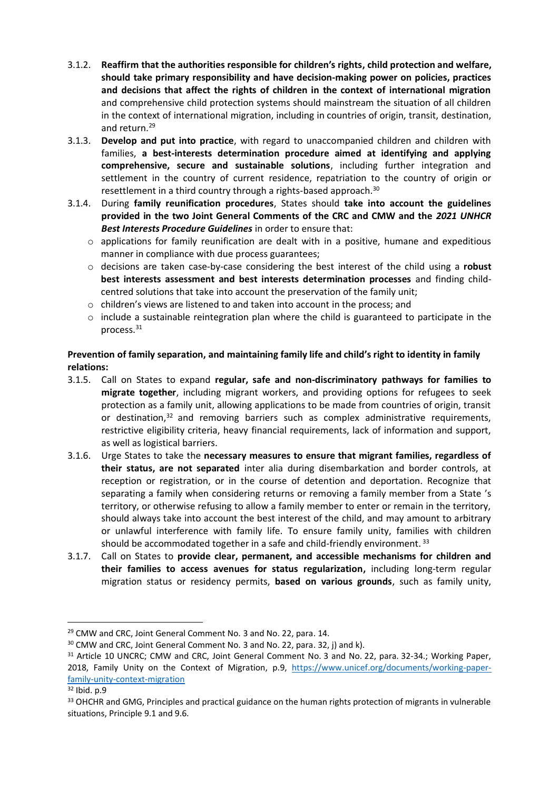- 3.1.2. **Reaffirm that the authorities responsible for children's rights, child protection and welfare, should take primary responsibility and have decision-making power on policies, practices and decisions that affect the rights of children in the context of international migration** and comprehensive child protection systems should mainstream the situation of all children in the context of international migration, including in countries of origin, transit, destination, and return.<sup>29</sup>
- 3.1.3. **Develop and put into practice**, with regard to unaccompanied children and children with families, **a best-interests determination procedure aimed at identifying and applying comprehensive, secure and sustainable solutions**, including further integration and settlement in the country of current residence, repatriation to the country of origin or resettlement in a third country through a rights-based approach.<sup>30</sup>
- 3.1.4. During **family reunification procedures**, States should **take into account the guidelines provided in the two Joint General Comments of the CRC and CMW and the** *2021 UNHCR Best Interests Procedure Guidelines* in order to ensure that:
	- $\circ$  applications for family reunification are dealt with in a positive, humane and expeditious manner in compliance with due process guarantees;
	- o decisions are taken case-by-case considering the best interest of the child using a **robust best interests assessment and best interests determination processes** and finding childcentred solutions that take into account the preservation of the family unit;
	- o children's views are listened to and taken into account in the process; and
	- $\circ$  include a sustainable reintegration plan where the child is guaranteed to participate in the process.<sup>31</sup>

# **Prevention of family separation, and maintaining family life and child's right to identity in family relations:**

- 3.1.5. Call on States to expand **regular, safe and non-discriminatory pathways for families to migrate together**, including migrant workers, and providing options for refugees to seek protection as a family unit, allowing applications to be made from countries of origin, transit or destination, <sup>32</sup> and removing barriers such as complex administrative requirements, restrictive eligibility criteria, heavy financial requirements, lack of information and support, as well as logistical barriers.
- 3.1.6. Urge States to take the **necessary measures to ensure that migrant families, regardless of their status, are not separated** inter alia during disembarkation and border controls, at reception or registration, or in the course of detention and deportation. Recognize that separating a family when considering returns or removing a family member from a State 's territory, or otherwise refusing to allow a family member to enter or remain in the territory, should always take into account the best interest of the child, and may amount to arbitrary or unlawful interference with family life. To ensure family unity, families with children should be accommodated together in a safe and child-friendly environment. 33
- 3.1.7. Call on States to **provide clear, permanent, and accessible mechanisms for children and their families to access avenues for status regularization,** including long-term regular migration status or residency permits, **based on various grounds**, such as family unity,

<sup>29</sup> CMW and CRC, Joint General Comment No. 3 and No. 22, para. 14.

<sup>&</sup>lt;sup>30</sup> CMW and CRC, Joint General Comment No. 3 and No. 22, para. 32, j) and k).

<sup>&</sup>lt;sup>31</sup> Article 10 UNCRC; CMW and CRC, Joint General Comment No. 3 and No. 22, para. 32-34.; Working Paper, 2018, Family Unity on the Context of Migration, p.9, [https://www.unicef.org/documents/working-paper](https://www.unicef.org/documents/working-paper-family-unity-context-migration)[family-unity-context-migration](https://www.unicef.org/documents/working-paper-family-unity-context-migration)

<sup>32</sup> Ibid. p.9

<sup>33</sup> OHCHR and GMG, Principles and practical guidance on the human rights protection of migrants in vulnerable situations, Principle 9.1 and 9.6.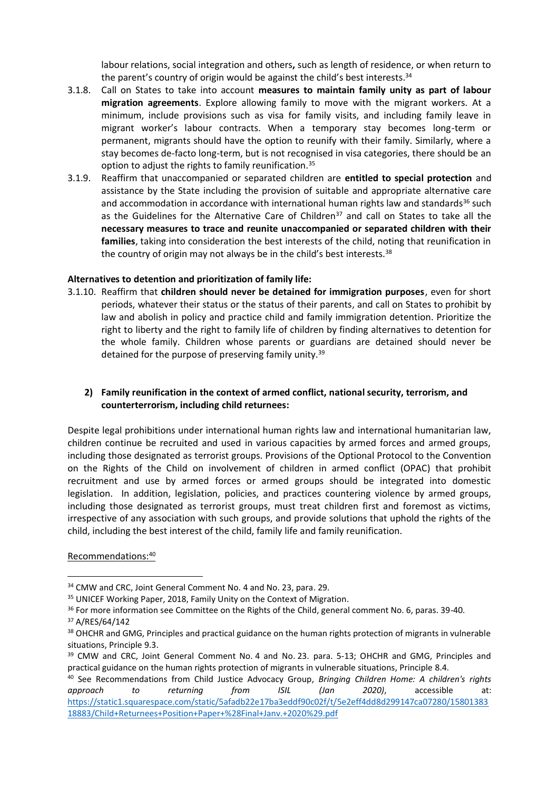labour relations, social integration and others**,** such as length of residence, or when return to the parent's country of origin would be against the child's best interests.<sup>34</sup>

- 3.1.8. Call on States to take into account **measures to maintain family unity as part of labour migration agreements**. Explore allowing family to move with the migrant workers. At a minimum, include provisions such as visa for family visits, and including family leave in migrant worker's labour contracts. When a temporary stay becomes long-term or permanent, migrants should have the option to reunify with their family. Similarly, where a stay becomes de-facto long-term, but is not recognised in visa categories, there should be an option to adjust the rights to family reunification.<sup>35</sup>
- 3.1.9. Reaffirm that unaccompanied or separated children are **entitled to special protection** and assistance by the State including the provision of suitable and appropriate alternative care and accommodation in accordance with international human rights law and standards $36$  such as the Guidelines for the Alternative Care of Children<sup>37</sup> and call on States to take all the **necessary measures to trace and reunite unaccompanied or separated children with their families**, taking into consideration the best interests of the child, noting that reunification in the country of origin may not always be in the child's best interests.<sup>38</sup>

## **Alternatives to detention and prioritization of family life:**

3.1.10. Reaffirm that **children should never be detained for immigration purposes**, even for short periods, whatever their status or the status of their parents, and call on States to prohibit by law and abolish in policy and practice child and family immigration detention. Prioritize the right to liberty and the right to family life of children by finding alternatives to detention for the whole family. Children whose parents or guardians are detained should never be detained for the purpose of preserving family unity.<sup>39</sup>

## **2) Family reunification in the context of armed conflict, national security, terrorism, and counterterrorism, including child returnees:**

Despite legal prohibitions under international human rights law and international humanitarian law, children continue be recruited and used in various capacities by armed forces and armed groups, including those designated as terrorist groups. Provisions of the Optional Protocol to the Convention on the Rights of the Child on involvement of children in armed conflict (OPAC) that prohibit recruitment and use by armed forces or armed groups should be integrated into domestic legislation. In addition, legislation, policies, and practices countering violence by armed groups, including those designated as terrorist groups, must treat children first and foremost as victims, irrespective of any association with such groups, and provide solutions that uphold the rights of the child, including the best interest of the child, family life and family reunification.

Recommendations:<sup>40</sup>

<sup>34</sup> CMW and CRC, Joint General Comment No. 4 and No. 23, para. 29.

<sup>&</sup>lt;sup>35</sup> UNICEF Working Paper, 2018, Family Unity on the Context of Migration.

<sup>&</sup>lt;sup>36</sup> For more information see Committee on the Rights of the Child, general comment No. 6, paras. 39-40.

<sup>37</sup> A/RES/64/142

<sup>&</sup>lt;sup>38</sup> OHCHR and GMG, Principles and practical guidance on the human rights protection of migrants in vulnerable situations, Principle 9.3.

<sup>&</sup>lt;sup>39</sup> CMW and CRC, Joint General Comment No. 4 and No. 23. para. 5-13; OHCHR and GMG, Principles and practical guidance on the human rights protection of migrants in vulnerable situations, Principle 8.4.

<sup>40</sup> See Recommendations from Child Justice Advocacy Group, *Bringing Children Home: A children's rights approach to returning from ISIL (Jan 2020)*, accessible at: [https://static1.squarespace.com/static/5afadb22e17ba3eddf90c02f/t/5e2eff4dd8d299147ca07280/15801383](https://static1.squarespace.com/static/5afadb22e17ba3eddf90c02f/t/5e2eff4dd8d299147ca07280/1580138318883/Child+Returnees+Position+Paper+%28Final+Janv.+2020%29.pdf) [18883/Child+Returnees+Position+Paper+%28Final+Janv.+2020%29.pdf](https://static1.squarespace.com/static/5afadb22e17ba3eddf90c02f/t/5e2eff4dd8d299147ca07280/1580138318883/Child+Returnees+Position+Paper+%28Final+Janv.+2020%29.pdf)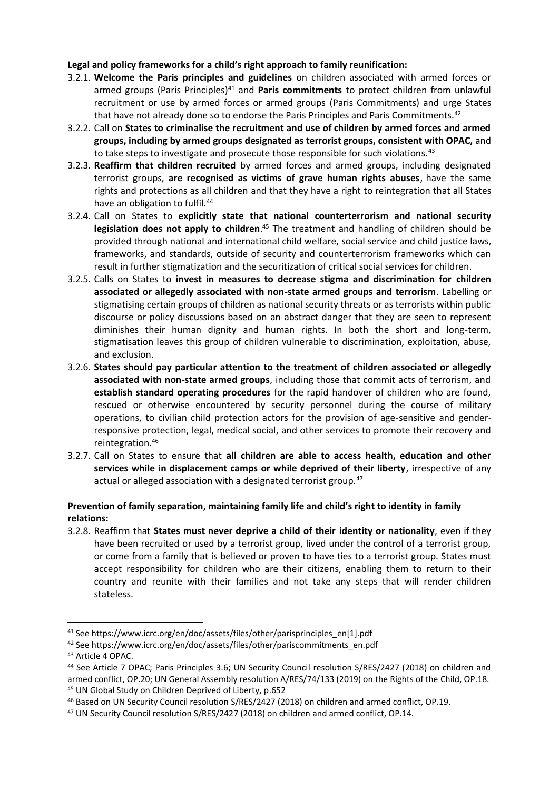## **Legal and policy frameworks for a child's right approach to family reunification:**

- 3.2.1. **Welcome the Paris principles and guidelines** on children associated with armed forces or armed groups (Paris Principles)<sup>41</sup> and **Paris commitments** to protect children from unlawful recruitment or use by armed forces or armed groups (Paris Commitments) and urge States that have not already done so to endorse the Paris Principles and Paris Commitments.<sup>42</sup>
- 3.2.2. Call on **States to criminalise the recruitment and use of children by armed forces and armed groups, including by armed groups designated as terrorist groups, consistent with OPAC,** and to take steps to investigate and prosecute those responsible for such violations.<sup>43</sup>
- 3.2.3. **Reaffirm that children recruited** by armed forces and armed groups, including designated terrorist groups, **are recognised as victims of grave human rights abuses**, have the same rights and protections as all children and that they have a right to reintegration that all States have an obligation to fulfil.<sup>44</sup>
- 3.2.4. Call on States to **explicitly state that national counterterrorism and national security legislation does not apply to children**. <sup>45</sup> The treatment and handling of children should be provided through national and international child welfare, social service and child justice laws, frameworks, and standards, outside of security and counterterrorism frameworks which can result in further stigmatization and the securitization of critical social services for children.
- 3.2.5. Calls on States to **invest in measures to decrease stigma and discrimination for children associated or allegedly associated with non-state armed groups and terrorism**. Labelling or stigmatising certain groups of children as national security threats or as terrorists within public discourse or policy discussions based on an abstract danger that they are seen to represent diminishes their human dignity and human rights. In both the short and long-term, stigmatisation leaves this group of children vulnerable to discrimination, exploitation, abuse, and exclusion.
- 3.2.6. **States should pay particular attention to the treatment of children associated or allegedly associated with non-state armed groups**, including those that commit acts of terrorism, and **establish standard operating procedures** for the rapid handover of children who are found, rescued or otherwise encountered by security personnel during the course of military operations, to civilian child protection actors for the provision of age-sensitive and genderresponsive protection, legal, medical social, and other services to promote their recovery and reintegration. 46
- 3.2.7. Call on States to ensure that **all children are able to access health, education and other services while in displacement camps or while deprived of their liberty**, irrespective of any actual or alleged association with a designated terrorist group.<sup>47</sup>

# **Prevention of family separation, maintaining family life and child's right to identity in family relations:**

3.2.8. Reaffirm that **States must never deprive a child of their identity or nationality**, even if they have been recruited or used by a terrorist group, lived under the control of a terrorist group, or come from a family that is believed or proven to have ties to a terrorist group. States must accept responsibility for children who are their citizens, enabling them to return to their country and reunite with their families and not take any steps that will render children stateless.

<sup>41</sup> See https://www.icrc.org/en/doc/assets/files/other/parisprinciples\_en[1].pdf

<sup>42</sup> See https://www.icrc.org/en/doc/assets/files/other/pariscommitments\_en.pdf

<sup>43</sup> Article 4 OPAC.

<sup>44</sup> See Article 7 OPAC; Paris Principles 3.6; UN Security Council resolution S/RES/2427 (2018) on children and armed conflict, OP.20; UN General Assembly resolution A/RES/74/133 (2019) on the Rights of the Child, OP.18. <sup>45</sup> UN Global Study on Children Deprived of Liberty, p.652

<sup>46</sup> Based on UN Security Council resolution S/RES/2427 (2018) on children and armed conflict, OP.19.

<sup>47</sup> UN Security Council resolution S/RES/2427 (2018) on children and armed conflict, OP.14.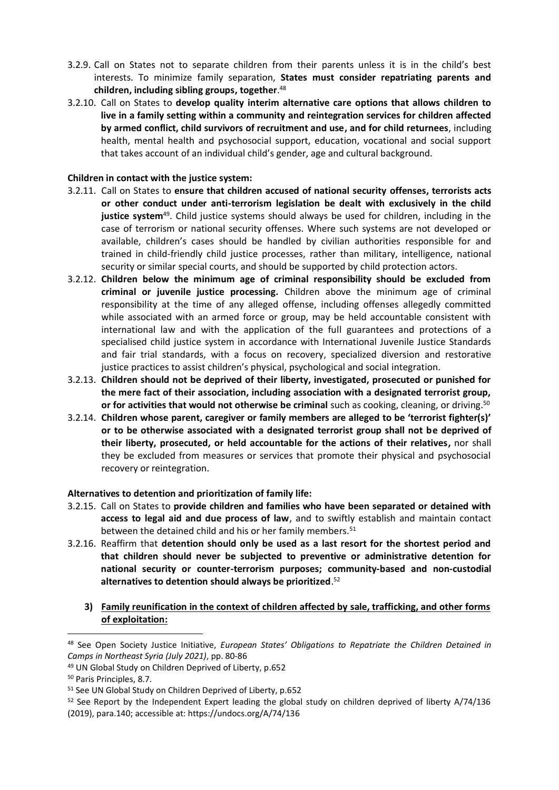- 3.2.9. Call on States not to separate children from their parents unless it is in the child's best interests. To minimize family separation, **States must consider repatriating parents and children, including sibling groups, together**. 48
- 3.2.10. Call on States to **develop quality interim alternative care options that allows children to live in a family setting within a community and reintegration services for children affected by armed conflict, child survivors of recruitment and use, and for child returnees**, including health, mental health and psychosocial support, education, vocational and social support that takes account of an individual child's gender, age and cultural background.

#### **Children in contact with the justice system:**

- 3.2.11. Call on States to **ensure that children accused of national security offenses, terrorists acts or other conduct under anti-terrorism legislation be dealt with exclusively in the child justice system**<sup>49</sup> . Child justice systems should always be used for children, including in the case of terrorism or national security offenses. Where such systems are not developed or available, children's cases should be handled by civilian authorities responsible for and trained in child-friendly child justice processes, rather than military, intelligence, national security or similar special courts, and should be supported by child protection actors.
- 3.2.12. **Children below the minimum age of criminal responsibility should be excluded from criminal or juvenile justice processing.** Children above the minimum age of criminal responsibility at the time of any alleged offense, including offenses allegedly committed while associated with an armed force or group, may be held accountable consistent with international law and with the application of the full guarantees and protections of a specialised child justice system in accordance with International Juvenile Justice Standards and fair trial standards, with a focus on recovery, specialized diversion and restorative justice practices to assist children's physical, psychological and social integration.
- 3.2.13. **Children should not be deprived of their liberty, investigated, prosecuted or punished for the mere fact of their association, including association with a designated terrorist group, or for activities that would not otherwise be criminal** such as cooking, cleaning, or driving.<sup>50</sup>
- 3.2.14. **Children whose parent, caregiver or family members are alleged to be 'terrorist fighter(s)' or to be otherwise associated with a designated terrorist group shall not be deprived of their liberty, prosecuted, or held accountable for the actions of their relatives,** nor shall they be excluded from measures or services that promote their physical and psychosocial recovery or reintegration.

# **Alternatives to detention and prioritization of family life:**

- 3.2.15. Call on States to **provide children and families who have been separated or detained with access to legal aid and due process of law**, and to swiftly establish and maintain contact between the detained child and his or her family members.<sup>51</sup>
- 3.2.16. Reaffirm that **detention should only be used as a last resort for the shortest period and that children should never be subjected to preventive or administrative detention for national security or counter-terrorism purposes; community-based and non-custodial alternatives to detention should always be prioritized**. 52
	- **3) Family reunification in the context of children affected by sale, trafficking, and other forms of exploitation:**

<sup>48</sup> See Open Society Justice Initiative, *European States' Obligations to Repatriate the Children Detained in Camps in Northeast Syria (July 2021)*, pp. 80-86

<sup>49</sup> UN Global Study on Children Deprived of Liberty, p.652

<sup>50</sup> Paris Principles, 8.7.

<sup>51</sup> See UN Global Study on Children Deprived of Liberty, p.652

<sup>&</sup>lt;sup>52</sup> See Report by the Independent Expert leading the global study on children deprived of liberty A/74/136 (2019), para.140; accessible at: https://undocs.org/A/74/136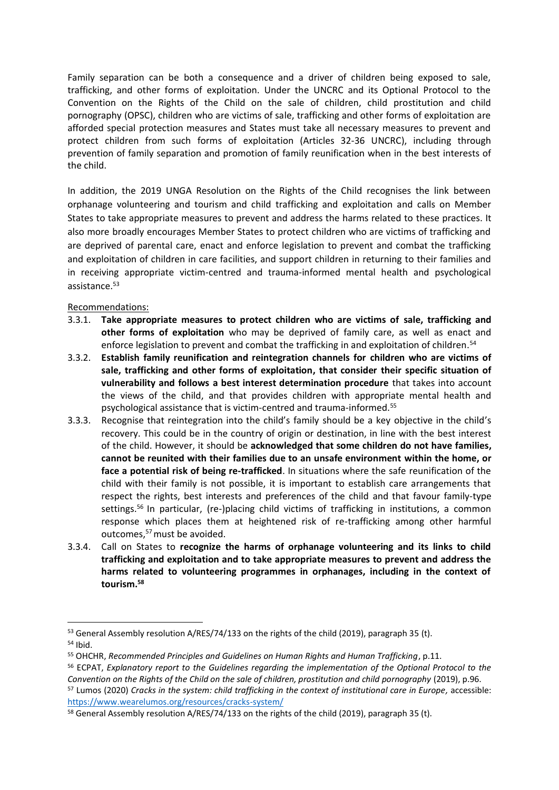Family separation can be both a consequence and a driver of children being exposed to sale, trafficking, and other forms of exploitation. Under the UNCRC and its Optional Protocol to the Convention on the Rights of the Child on the sale of children, child prostitution and child pornography (OPSC), children who are victims of sale, trafficking and other forms of exploitation are afforded special protection measures and States must take all necessary measures to prevent and protect children from such forms of exploitation (Articles 32-36 UNCRC), including through prevention of family separation and promotion of family reunification when in the best interests of the child.

In addition, the 2019 UNGA Resolution on the Rights of the Child recognises the link between orphanage volunteering and tourism and child trafficking and exploitation and calls on Member States to take appropriate measures to prevent and address the harms related to these practices. It also more broadly encourages Member States to protect children who are victims of trafficking and are deprived of parental care, enact and enforce legislation to prevent and combat the trafficking and exploitation of children in care facilities, and support children in returning to their families and in receiving appropriate victim-centred and trauma-informed mental health and psychological assistance.<sup>53</sup>

# Recommendations:

- 3.3.1. **Take appropriate measures to protect children who are victims of sale, trafficking and other forms of exploitation** who may be deprived of family care, as well as enact and enforce legislation to prevent and combat the trafficking in and exploitation of children.<sup>54</sup>
- 3.3.2. **Establish family reunification and reintegration channels for children who are victims of sale, trafficking and other forms of exploitation, that consider their specific situation of vulnerability and follows a best interest determination procedure** that takes into account the views of the child, and that provides children with appropriate mental health and psychological assistance that is victim-centred and trauma-informed. 55
- 3.3.3. Recognise that reintegration into the child's family should be a key objective in the child's recovery. This could be in the country of origin or destination, in line with the best interest of the child. However, it should be **acknowledged that some children do not have families, cannot be reunited with their families due to an unsafe environment within the home, or face a potential risk of being re-trafficked**. In situations where the safe reunification of the child with their family is not possible, it is important to establish care arrangements that respect the rights, best interests and preferences of the child and that favour family-type settings.<sup>56</sup> In particular, (re-)placing child victims of trafficking in institutions, a common response which places them at heightened risk of re-trafficking among other harmful outcomes,<sup>57</sup> must be avoided.
- 3.3.4. Call on States to **recognize the harms of orphanage volunteering and its links to child trafficking and exploitation and to take appropriate measures to prevent and address the harms related to volunteering programmes in orphanages, including in the context of tourism. 58**

<sup>53</sup> General Assembly resolution A/RES/74/133 on the rights of the child (2019), paragraph 35 (t). <sup>54</sup> Ibid.

<sup>55</sup> OHCHR, *Recommended Principles and Guidelines on Human Rights and Human Trafficking*, p.11.

<sup>56</sup> ECPAT, *Explanatory report to the Guidelines regarding the implementation of the Optional Protocol to the Convention on the Rights of the Child on the sale of children, prostitution and child pornography* (2019), p.96.

<sup>57</sup> Lumos (2020) *Cracks in the system: child trafficking in the context of institutional care in Europe,* accessible: <https://www.wearelumos.org/resources/cracks-system/>

<sup>&</sup>lt;sup>58</sup> General Assembly resolution A/RES/74/133 on the rights of the child (2019), paragraph 35 (t).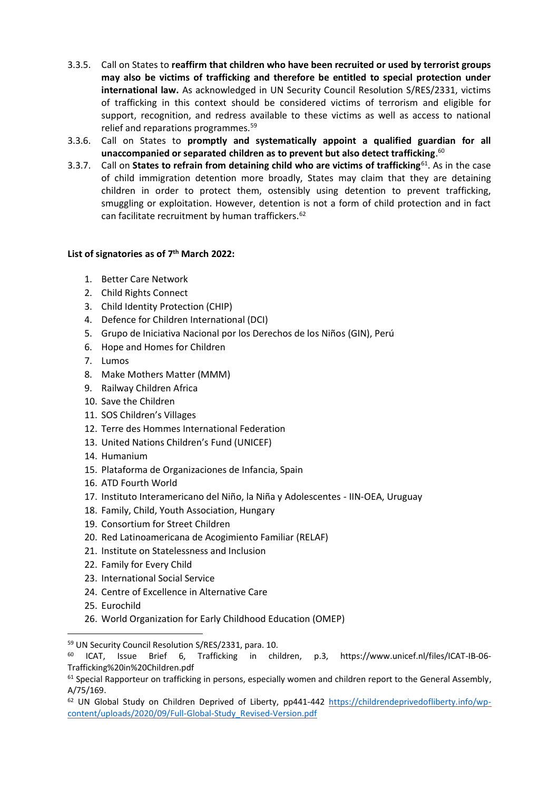- 3.3.5. Call on States to **reaffirm that children who have been recruited or used by terrorist groups may also be victims of trafficking and therefore be entitled to special protection under international law.** As acknowledged in UN Security Council Resolution S/RES/2331, victims of trafficking in this context should be considered victims of terrorism and eligible for support, recognition, and redress available to these victims as well as access to national relief and reparations programmes.<sup>59</sup>
- 3.3.6. Call on States to **promptly and systematically appoint a qualified guardian for all unaccompanied or separated children as to prevent but also detect trafficking**. 60
- 3.3.7. Call on **States to refrain from detaining child who are victims of trafficking**<sup>61</sup> . As in the case of child immigration detention more broadly, States may claim that they are detaining children in order to protect them, ostensibly using detention to prevent trafficking, smuggling or exploitation. However, detention is not a form of child protection and in fact can facilitate recruitment by human traffickers.<sup>62</sup>

## **List of signatories as of 7 th March 2022:**

- 1. Better Care Network
- 2. Child Rights Connect
- 3. Child Identity Protection (CHIP)
- 4. Defence for Children International (DCI)
- 5. Grupo de Iniciativa Nacional por los Derechos de los Niños (GIN), Perú
- 6. Hope and Homes for Children
- 7. Lumos
- 8. Make Mothers Matter (MMM)
- 9. Railway Children Africa
- 10. Save the Children
- 11. SOS Children's Villages
- 12. Terre des Hommes International Federation
- 13. United Nations Children's Fund (UNICEF)
- 14. Humanium
- 15. Plataforma de Organizaciones de Infancia, Spain
- 16. ATD Fourth World
- 17. Instituto Interamericano del Niño, la Niña y Adolescentes IIN-OEA, Uruguay
- 18. Family, Child, Youth Association, Hungary
- 19. Consortium for Street Children
- 20. Red Latinoamericana de Acogimiento Familiar (RELAF)
- 21. Institute on Statelessness and Inclusion
- 22. Family for Every Child
- 23. International Social Service
- 24. Centre of Excellence in Alternative Care
- 25. Eurochild
- 26. World Organization for Early Childhood Education (OMEP)

<sup>59</sup> UN Security Council Resolution S/RES/2331, para. 10.

<sup>60</sup> ICAT, Issue Brief 6, Trafficking in children, p.3, https://www.unicef.nl/files/ICAT-IB-06- Trafficking%20in%20Children.pdf

<sup>&</sup>lt;sup>61</sup> Special Rapporteur on trafficking in persons, especially women and children report to the General Assembly, A/75/169.

<sup>&</sup>lt;sup>62</sup> UN Global Study on Children Deprived of Liberty, pp441-442 [https://childrendeprivedofliberty.info/wp](https://childrendeprivedofliberty.info/wp-content/uploads/2020/09/Full-Global-Study_Revised-Version.pdf)[content/uploads/2020/09/Full-Global-Study\\_Revised-Version.pdf](https://childrendeprivedofliberty.info/wp-content/uploads/2020/09/Full-Global-Study_Revised-Version.pdf)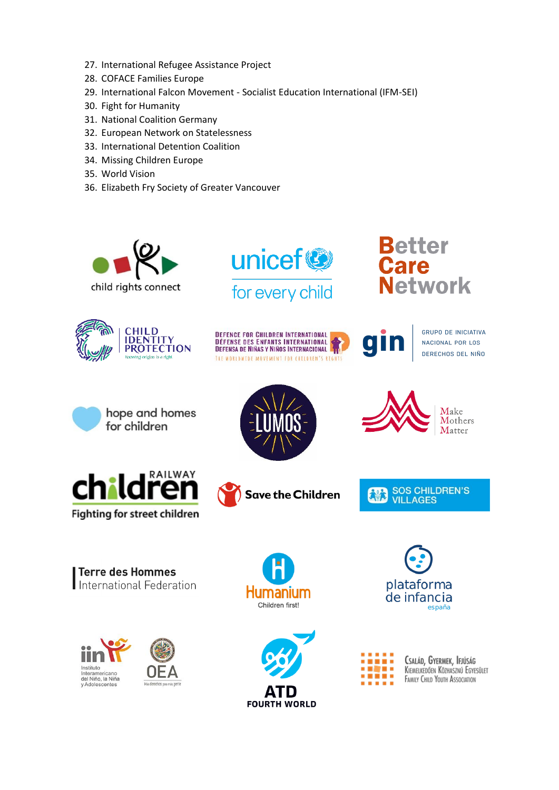- 27. International Refugee Assistance Project
- 28. COFACE Families Europe
- 29. International Falcon Movement Socialist Education International (IFM-SEI)
- 30. Fight for Humanity
- 31. National Coalition Germany
- 32. European Network on Statelessness
- 33. International Detention Coalition
- 34. Missing Children Europe
- 35. World Vision
- 36. Elizabeth Fry Society of Greater Vancouver





# **Better**<br>Care **Network**





**GRUPO DE INICIATIVA** NACIONAL POR LOS DERECHOS DEL NIÑO

hope and homes for children









Make Mothers Matter

SOS CHILDREN'S<br>VILLAGES 桃

**Terre des Hommes** International Federation